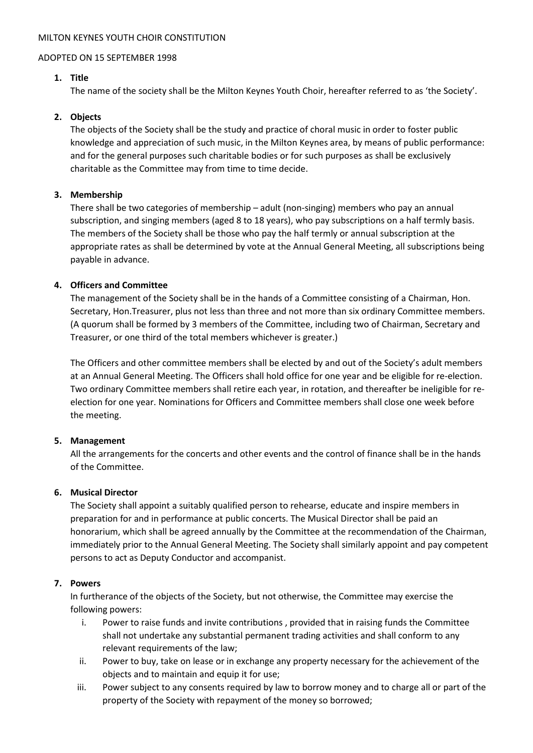### MILTON KEYNES YOUTH CHOIR CONSTITUTION

#### ADOPTED ON 15 SEPTEMBER 1998

### **1. Title**

The name of the society shall be the Milton Keynes Youth Choir, hereafter referred to as 'the Society'.

# **2. Objects**

The objects of the Society shall be the study and practice of choral music in order to foster public knowledge and appreciation of such music, in the Milton Keynes area, by means of public performance: and for the general purposes such charitable bodies or for such purposes as shall be exclusively charitable as the Committee may from time to time decide.

## **3. Membership**

There shall be two categories of membership – adult (non-singing) members who pay an annual subscription, and singing members (aged 8 to 18 years), who pay subscriptions on a half termly basis. The members of the Society shall be those who pay the half termly or annual subscription at the appropriate rates as shall be determined by vote at the Annual General Meeting, all subscriptions being payable in advance.

## **4. Officers and Committee**

The management of the Society shall be in the hands of a Committee consisting of a Chairman, Hon. Secretary, Hon.Treasurer, plus not less than three and not more than six ordinary Committee members. (A quorum shall be formed by 3 members of the Committee, including two of Chairman, Secretary and Treasurer, or one third of the total members whichever is greater.)

The Officers and other committee members shall be elected by and out of the Society's adult members at an Annual General Meeting. The Officers shall hold office for one year and be eligible for re-election. Two ordinary Committee members shall retire each year, in rotation, and thereafter be ineligible for reelection for one year. Nominations for Officers and Committee members shall close one week before the meeting.

#### **5. Management**

All the arrangements for the concerts and other events and the control of finance shall be in the hands of the Committee.

#### **6. Musical Director**

The Society shall appoint a suitably qualified person to rehearse, educate and inspire members in preparation for and in performance at public concerts. The Musical Director shall be paid an honorarium, which shall be agreed annually by the Committee at the recommendation of the Chairman, immediately prior to the Annual General Meeting. The Society shall similarly appoint and pay competent persons to act as Deputy Conductor and accompanist.

#### **7. Powers**

In furtherance of the objects of the Society, but not otherwise, the Committee may exercise the following powers:

- i. Power to raise funds and invite contributions , provided that in raising funds the Committee shall not undertake any substantial permanent trading activities and shall conform to any relevant requirements of the law;
- ii. Power to buy, take on lease or in exchange any property necessary for the achievement of the objects and to maintain and equip it for use;
- iii. Power subject to any consents required by law to borrow money and to charge all or part of the property of the Society with repayment of the money so borrowed;